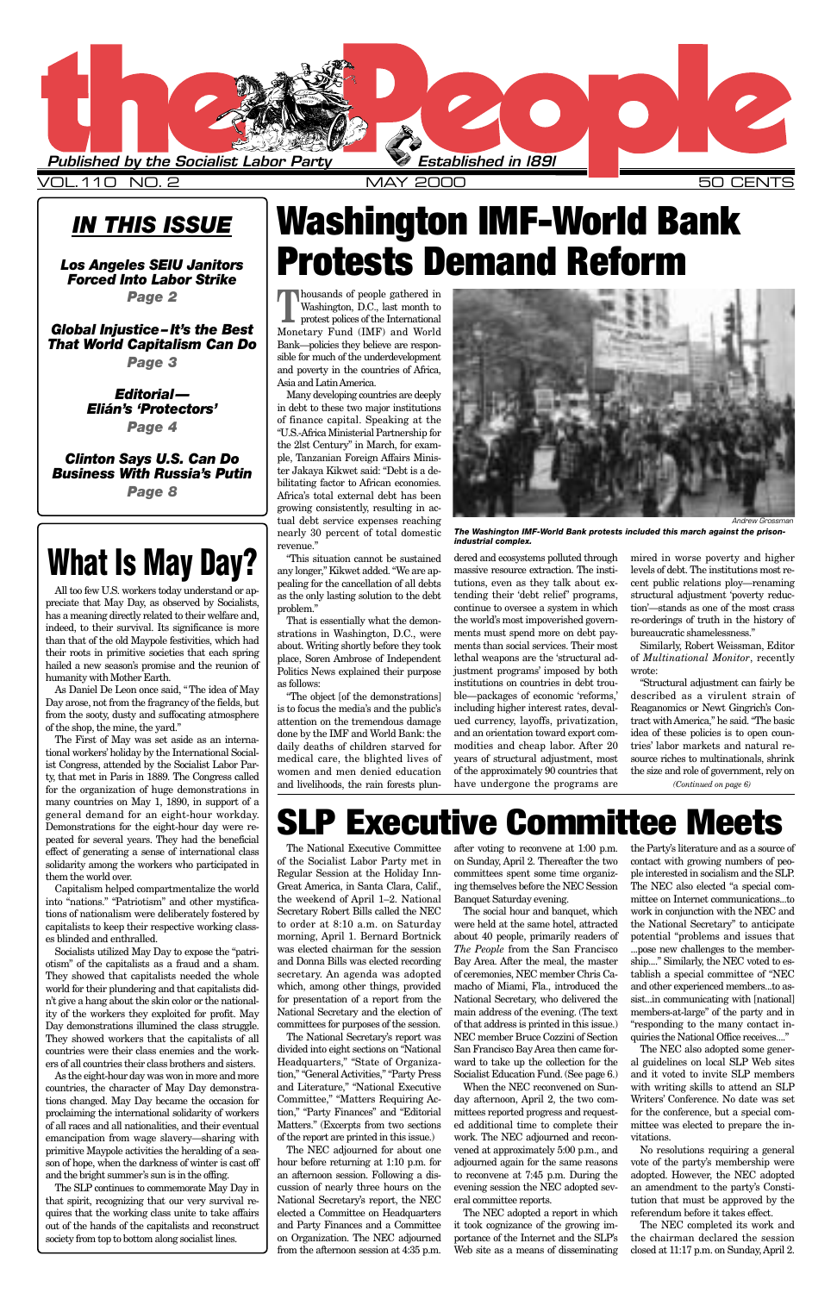**T**housands of people gathered in Washington, D.C., last month to protest polices of the International Washington, D.C., last month to Monetary Fund (IMF) and World Bank—policies they believe are responsible for much of the underdevelopment and poverty in the countries of Africa, Asia and Latin America.

Many developing countries are deeply in debt to these two major institutions of finance capital. Speaking at the "U.S.-Africa Ministerial Partnership for the 2lst Century" in March, for example, Tanzanian Foreign Affairs Minister Jakaya Kikwet said: "Debt is a debilitating factor to African economies. Africa's total external debt has been growing consistently, resulting in actual debt service expenses reaching nearly 30 percent of total domestic revenue."

"This situation cannot be sustained any longer," Kikwet added. "We are appealing for the cancellation of all debts as the only lasting solution to the debt problem."

That is essentially what the demonstrations in Washington, D.C., were about. Writing shortly before they took place, Soren Ambrose of Independent Politics News explained their purpose as follows:

"The object [of the demonstrations] is to focus the media's and the public's attention on the tremendous damage done by the IMF and World Bank: the daily deaths of children starved for medical care, the blighted lives of women and men denied education and livelihoods, the rain forests plun-

dered and ecosystems polluted through massive resource extraction. The institutions, even as they talk about extending their 'debt relief' programs, continue to oversee a system in which the world's most impoverished governments must spend more on debt payments than social services. Their most lethal weapons are the 'structural adjustment programs' imposed by both institutions on countries in debt trouble—packages of economic 'reforms,' including higher interest rates, devalued currency, layoffs, privatization, and an orientation toward export commodities and cheap labor. After 20 years of structural adjustment, most of the approximately 90 countries that have undergone the programs are

mired in worse poverty and higher levels of debt. The institutions most recent public relations ploy—renaming structural adjustment 'poverty reduction'—stands as one of the most crass re-orderings of truth in the history of bureaucratic shamelessness."

Similarly, Robert Weissman, Editor of *Multinational Monitor*, recently wrote:

"Structural adjustment can fairly be described as a virulent strain of Reaganomics or Newt Gingrich's Contract with America," he said. "The basic idea of these policies is to open countries' labor markets and natural resource riches to multinationals, shrink the size and role of government, rely on

*(Continued on page 6)*

## **Executive Committee Meets**

### *IN THIS ISSUE*

*Los Angeles SEIU Janitors Forced Into Labor Strike Page 2*

*Global Injustice –It's the Best That World Capitalism Can Do*

*Page 3*

*Editorial— Elián's 'Protectors' Page 4*

*Clinton Says U.S. Can Do Business With Russia's Putin Page 8*

> The National Executive Committee of the Socialist Labor Party met in Regular Session at the Holiday Inn-Great America, in Santa Clara, Calif., the weekend of April 1–2. National Secretary Robert Bills called the NEC to order at 8:10 a.m. on Saturday morning, April 1. Bernard Bortnick was elected chairman for the session and Donna Bills was elected recording secretary. An agenda was adopted which, among other things, provided for presentation of a report from the National Secretary and the election of committees for purposes of the session. The National Secretary's report was divided into eight sections on "National Headquarters," "State of Organization," "General Activities," "Party Press and Literature," "National Executive Committee," "Matters Requiring Action," "Party Finances" and "Editorial Matters." (Excerpts from two sections of the report are printed in this issue.) The NEC adjourned for about one hour before returning at 1:10 p.m. for an afternoon session. Following a discussion of nearly three hours on the National Secretary's report, the NEC elected a Committee on Headquarters and Party Finances and a Committee on Organization. The NEC adjourned from the afternoon session at 4:35 p.m.

after voting to reconvene at 1:00 p.m. on Sunday, April 2. Thereafter the two committees spent some time organizing themselves before the NEC Session Banquet Saturday evening.

The social hour and banquet, which were held at the same hotel, attracted about 40 people, primarily readers of *The People* from the San Francisco Bay Area. After the meal, the master of ceremonies, NEC member Chris Camacho of Miami, Fla., introduced the National Secretary, who delivered the main address of the evening. (The text of that address is printed in this issue.) NEC member Bruce Cozzini of Section San Francisco Bay Area then came forward to take up the collection for the Socialist Education Fund. (See page 6.) When the NEC reconvened on Sunday afternoon, April 2, the two committees reported progress and requested additional time to complete their work. The NEC adjourned and reconvened at approximately 5:00 p.m., and adjourned again for the same reasons to reconvene at 7:45 p.m. During the evening session the NEC adopted several committee reports. The NEC adopted a report in which it took cognizance of the growing importance of the Internet and the SLP's Web site as a means of disseminating

the Party's literature and as a source of contact with growing numbers of people interested in socialism and the SLP. The NEC also elected "a special committee on Internet communications...to work in conjunction with the NEC and the National Secretary" to anticipate potential "problems and issues that ...pose new challenges to the membership...." Similarly, the NEC voted to establish a special committee of "NEC and other experienced members...to assist...in communicating with [national] members-at-large" of the party and in "responding to the many contact inquiries the National Office receives...." The NEC also adopted some general guidelines on local SLP Web sites and it voted to invite SLP members with writing skills to attend an SLP Writers' Conference. No date was set for the conference, but a special committee was elected to prepare the invitations.

No resolutions requiring a general vote of the party's membership were adopted. However, the NEC adopted an amendment to the party's Constitution that must be approved by the referendum before it takes effect.

The NEC completed its work and the chairman declared the session closed at 11:17 p.m. on Sunday, April 2.



VOL.110 NO. 2 MAY 2000 50 CENTS

# **Washington IMF-World Bank Protests Demand Reform**

# **What Is May Day?**

All too few U.S. workers today understand or appreciate that May Day, as observed by Socialists, has a meaning directly related to their welfare and, indeed, to their survival. Its significance is more than that of the old Maypole festivities, which had their roots in primitive societies that each spring hailed a new season's promise and the reunion of humanity with Mother Earth.

As Daniel De Leon once said, "The idea of May Day arose, not from the fragrancy of the fields, but from the sooty, dusty and suffocating atmosphere of the shop, the mine, the yard."

The First of May was set aside as an international workers' holiday by the International Socialist Congress, attended by the Socialist Labor Party, that met in Paris in 1889. The Congress called for the organization of huge demonstrations in many countries on May 1, 1890, in support of a general demand for an eight-hour workday. Demonstrations for the eight-hour day were repeated for several years. They had the beneficial effect of generating a sense of international class solidarity among the workers who participated in them the world over.

Capitalism helped compartmentalize the world into "nations." "Patriotism" and other mystifications of nationalism were deliberately fostered by capitalists to keep their respective working classes blinded and enthralled.

Socialists utilized May Day to expose the "patriotism" of the capitalists as a fraud and a sham. They showed that capitalists needed the whole world for their plundering and that capitalists didn't give a hang about the skin color or the nationality of the workers they exploited for profit. May Day demonstrations illumined the class struggle. They showed workers that the capitalists of all countries were their class enemies and the workers of all countries their class brothers and sisters. As the eight-hour day was won in more and more countries, the character of May Day demonstrations changed. May Day became the occasion for proclaiming the international solidarity of workers of all races and all nationalities, and their eventual emancipation from wage slavery—sharing with primitive Maypole activities the heralding of a season of hope, when the darkness of winter is cast off and the bright summer's sun is in the offing. The SLP continues to commemorate May Day in that spirit, recognizing that our very survival requires that the working class unite to take affairs out of the hands of the capitalists and reconstruct society from top to bottom along socialist lines.



*The Washington IMF-World Bank protests included this march against the prisonindustrial complex.*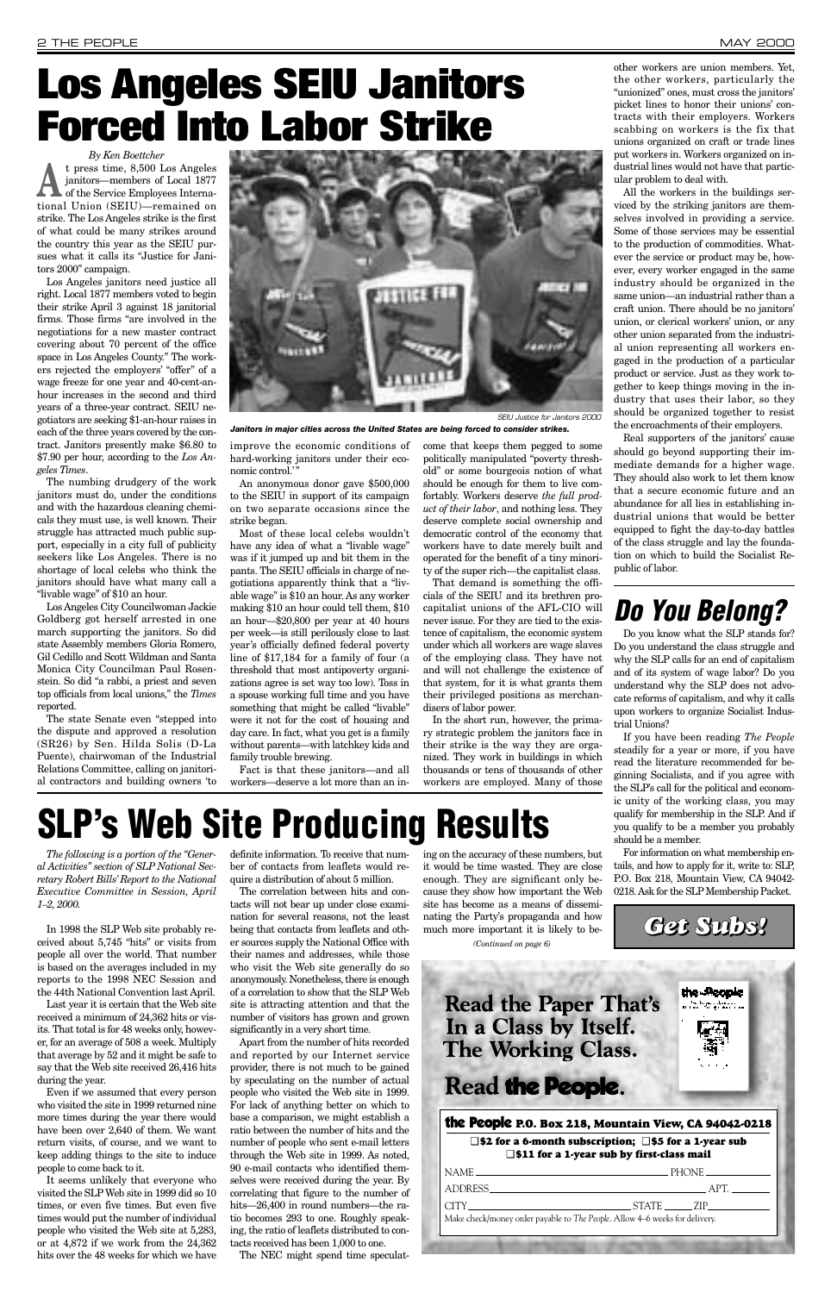*The following is a portion of the "General Activities" section of SLP National Secretary Robert Bills' Report to the National Executive Committee in Session, April 1–2, 2000.* 

In 1998 the SLP Web site probably received about 5,745 "hits" or visits from people all over the world. That number is based on the averages included in my reports to the 1998 NEC Session and the 44th National Convention last April. Last year it is certain that the Web site received a minimum of 24,362 hits or visits. That total is for 48 weeks only, however, for an average of 508 a week. Multiply that average by 52 and it might be safe to say that the Web site received 26,416 hits during the year. Even if we assumed that every person who visited the site in 1999 returned nine more times during the year there would have been over 2,640 of them. We want return visits, of course, and we want to keep adding things to the site to induce people to come back to it. It seems unlikely that everyone who visited the SLP Web site in 1999 did so 10 times, or even five times. But even five times would put the number of individual people who visited the Web site at 5,283, or at 4,872 if we work from the 24,362 hits over the 48 weeks for which we have

definite information. To receive that number of contacts from leaflets would require a distribution of about 5 million.

<sup>t</sup> press time, 8,500 Los Angeles<br>
janitors—members of Local 1877<br>
of the Service Employees Internajanitors—members of Local 1877 tional Union (SEIU)—remained on strike. The Los Angeles strike is the first of what could be many strikes around the country this year as the SEIU pursues what it calls its "Justice for Janitors 2000" campaign.

> The correlation between hits and contacts will not bear up under close examination for several reasons, not the least being that contacts from leaflets and other sources supply the National Office with their names and addresses, while those who visit the Web site generally do so anonymously. Nonetheless, there is enough of a correlation to show that the SLP Web site is attracting attention and that the number of visitors has grown and grown significantly in a very short time. Apart from the number of hits recorded and reported by our Internet service provider, there is not much to be gained by speculating on the number of actual people who visited the Web site in 1999. For lack of anything better on which to base a comparison, we might establish a ratio between the number of hits and the number of people who sent e-mail letters through the Web site in 1999. As noted, 90 e-mail contacts who identified themselves were received during the year. By correlating that figure to the number of hits—26,400 in round numbers—the ratio becomes 293 to one. Roughly speaking, the ratio of leaflets distributed to contacts received has been 1,000 to one.

> improve the economic conditions of hard-working janitors under their economic control.'

The NEC might spend time speculat-

### **Read the Paper That's** In a Class by Itself. **The Working Class.**

### Read the People.

ing on the accuracy of these numbers, but it would be time wasted. They are close enough. They are significant only because they show how important the Web site has become as a means of disseminating the Party's propaganda and how much more important it is likely to be-

*By Ken Boettcher*

Los Angeles janitors need justice all right. Local 1877 members voted to begin their strike April 3 against 18 janitorial firms. Those firms "are involved in the negotiations for a new master contract covering about 70 percent of the office space in Los Angeles County." The workers rejected the employers' "offer" of a wage freeze for one year and 40-cent-anhour increases in the second and third years of a three-year contract. SEIU negotiators are seeking \$1-an-hour raises in each of the three years covered by the contract. Janitors presently make \$6.80 to \$7.90 per hour, according to the *Los Angeles Times*.

The numbing drudgery of the work janitors must do, under the conditions and with the hazardous cleaning chemicals they must use, is well known. Their struggle has attracted much public support, especially in a city full of publicity seekers like Los Angeles. There is no shortage of local celebs who think the janitors should have what many call a "livable wage" of \$10 an hour.

Los Angeles City Councilwoman Jackie Goldberg got herself arrested in one march supporting the janitors. So did state Assembly members Gloria Romero, Gil Cedillo and Scott Wildman and Santa Monica City Councilman Paul Rosenstein. So did "a rabbi, a priest and seven top officials from local unions," the *Times* reported.

The state Senate even "stepped into the dispute and approved a resolution (SR26) by Sen. Hilda Solis (D-La Puente), chairwoman of the Industrial Relations Committee, calling on janitorial contractors and building owners 'to

An anonymous donor gave \$500,000 to the SEIU in support of its campaign on two separate occasions since the strike began.

Most of these local celebs wouldn't have any idea of what a "livable wage" was if it jumped up and bit them in the pants. The SEIU officials in charge of negotiations apparently think that a "livable wage" is \$10 an hour. As any worker making \$10 an hour could tell them, \$10 an hour—\$20,800 per year at 40 hours per week—is still perilously close to last year's officially defined federal poverty line of \$17,184 for a family of four (a threshold that most antipoverty organizations agree is set way too low). Toss in a spouse working full time and you have something that might be called "livable" were it not for the cost of housing and day care. In fact, what you get is a family without parents—with latchkey kids and family trouble brewing.

Fact is that these janitors—and all workers—deserve a lot more than an income that keeps them pegged to some politically manipulated "poverty threshold" or some bourgeois notion of what should be enough for them to live comfortably. Workers deserve *the full product of their labor*, and nothing less. They deserve complete social ownership and democratic control of the economy that workers have to date merely built and operated for the benefit of a tiny minority of the super rich—the capitalist class.

That demand is something the officials of the SEIU and its brethren procapitalist unions of the AFL-CIO will never issue. For they are tied to the existence of capitalism, the economic system under which all workers are wage slaves of the employing class. They have not and will not challenge the existence of that system, for it is what grants them their privileged positions as merchandisers of labor power.

In the short run, however, the primary strategic problem the janitors face in their strike is the way they are organized. They work in buildings in which thousands or tens of thousands of other workers are employed. Many of those

# **Los Angeles SEIU Janitors Forced Into Labor Strike**



All the workers in the buildings serviced by the striking janitors are themselves involved in providing a service. Some of those services may be essential to the production of commodities. Whatever the service or product may be, however, every worker engaged in the same industry should be organized in the same union—an industrial rather than a craft union. There should be no janitors' union, or clerical workers' union, or any other union separated from the industrial union representing all workers engaged in the production of a particular product or service. Just as they work together to keep things moving in the industry that uses their labor, so they should be organized together to resist the encroachments of their employers.

Real supporters of the janitors' cause should go beyond supporting their immediate demands for a higher wage. They should also work to let them know that a secure economic future and an abundance for all lies in establishing industrial unions that would be better equipped to fight the day-to-day battles of the class struggle and lay the foundation on which to build the Socialist Republic of labor.

## *Do You Belong?*

Do you know what the SLP stands for? Do you understand the class struggle and why the SLP calls for an end of capitalism and of its system of wage labor? Do you understand why the SLP does not advocate reforms of capitalism, and why it calls upon workers to organize Socialist Industrial Unions?

If you have been reading *The People* steadily for a year or more, if you have read the literature recommended for beginning Socialists, and if you agree with the SLP's call for the political and economic unity of the working class, you may qualify for membership in the SLP. And if you qualify to be a member you probably should be a member.

For information on what membership entails, and how to apply for it, write to: SLP, P.O. Box 218, Mountain View, CA 94042- 0218. Ask for the SLP Membership Packet.

#### the People **P.O. Box 218, Mountain View, CA 94042-0218**

#### ❑ **\$2 for a 6-month subscription;** ❑ **\$5 for a 1-year sub** ❑ **\$11 for a 1-year sub by first-class mail**

| _ PHONE ___________                                                         |
|-----------------------------------------------------------------------------|
|                                                                             |
| STATE ZIP                                                                   |
| Make check/money order payable to The People. Allow 4–6 weeks for delivery. |
|                                                                             |

*Get Subs!*

the Records



*Janitors in major cities across the United States are being forced to consider strikes.*

# **SLP's Web Site Producing Results**

*(Continued on page 6)*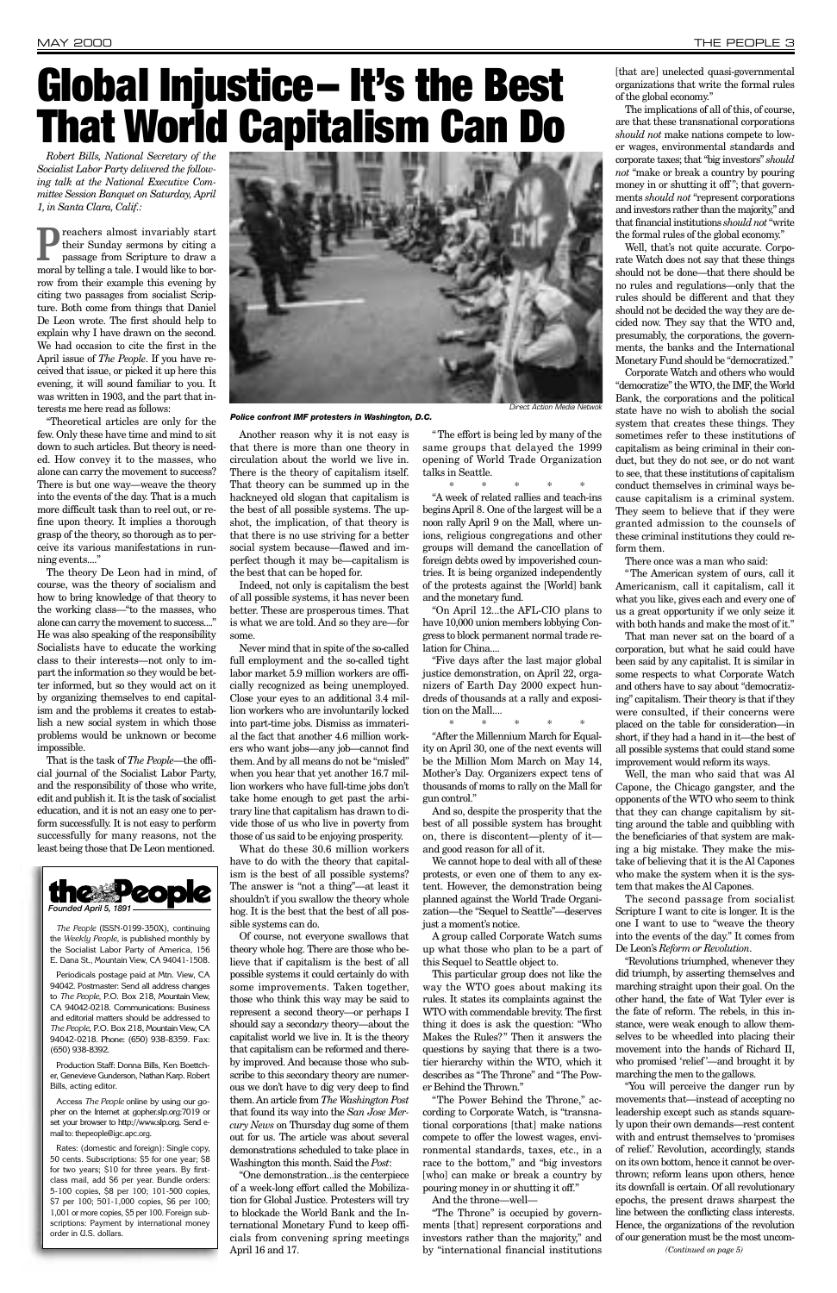*Robert Bills, National Secretary of the Socialist Labor Party delivered the following talk at the National Executive Committee Session Banquet on Saturday, April 1, in Santa Clara, Calif.:*

**P**reachers almost invariably start<br>their Sunday sermons by citing a<br>passage from Scripture to draw a their Sunday sermons by citing a passage from Scripture to draw a moral by telling a tale. I would like to borrow from their example this evening by citing two passages from socialist Scripture. Both come from things that Daniel De Leon wrote. The first should help to explain why I have drawn on the second. We had occasion to cite the first in the April issue of *The People*. If you have received that issue, or picked it up here this evening, it will sound familiar to you. It was written in 1903, and the part that interests me here read as follows:

"Theoretical articles are only for the few. Only these have time and mind to sit down to such articles. But theory is needed. How convey it to the masses, who alone can carry the movement to success? There is but one way—weave the theory into the events of the day. That is a much more difficult task than to reel out, or refine upon theory. It implies a thorough grasp of the theory, so thorough as to perceive its various manifestations in running events...."

The theory De Leon had in mind, of course, was the theory of socialism and how to bring knowledge of that theory to the working class—"to the masses, who alone can carry the movement to success...." He was also speaking of the responsibility Socialists have to educate the working class to their interests—not only to impart the information so they would be better informed, but so they would act on it by organizing themselves to end capitalism and the problems it creates to establish a new social system in which those problems would be unknown or become impossible.

That is the task of *The People*—the official journal of the Socialist Labor Party, and the responsibility of those who write, edit and publish it. It is the task of socialist education, and it is not an easy one to perform successfully. It is not easy to perform successfully for many reasons, not the least being those that De Leon mentioned.

Another reason why it is not easy is that there is more than one theory in circulation about the world we live in. There is the theory of capitalism itself. That theory can be summed up in the hackneyed old slogan that capitalism is the best of all possible systems. The upshot, the implication, of that theory is that there is no use striving for a better social system because—flawed and imperfect though it may be—capitalism is the best that can be hoped for.

Indeed, not only is capitalism the best of all possible systems, it has never been better. These are prosperous times. That is what we are told. And so they are—for some.

Never mind that in spite of the so-called full employment and the so-called tight labor market 5.9 million workers are officially recognized as being unemployed. Close your eyes to an additional 3.4 million workers who are involuntarily locked into part-time jobs. Dismiss as immaterial the fact that another 4.6 million workers who want jobs—any job—cannot find them. And by all means do not be "misled" when you hear that yet another 16.7 million workers who have full-time jobs don't take home enough to get past the arbitrary line that capitalism has drawn to divide those of us who live in poverty from those of us said to be enjoying prosperity.

What do these 30.6 million workers have to do with the theory that capitalism is the best of all possible systems? The answer is "not a thing"—at least it shouldn't if you swallow the theory whole hog. It is the best that the best of all possible systems can do.

[that are] unelected quasi-governmental organizations that write the formal rules of the global economy."

Of course, not everyone swallows that theory whole hog. There are those who believe that if capitalism is the best of all possible systems it could certainly do with some improvements. Taken together, those who think this way may be said to represent a second theory—or perhaps I should say a second*ary* theory—about the capitalist world we live in. It is the theory that capitalism can be reformed and thereby improved. And because those who subscribe to this secondary theory are numerous we don't have to dig very deep to find them. An article from *The Washington Post* that found its way into the *San Jose Mercury News* on Thursday dug some of them out for us. The article was about several demonstrations scheduled to take place in Washington this month. Said the *Post*: "One demonstration...is the centerpiece of a week-long effort called the Mobilization for Global Justice. Protesters will try to blockade the World Bank and the International Monetary Fund to keep officials from convening spring meetings April 16 and 17.

"The effort is being led by many of the same groups that delayed the 1999 opening of World Trade Organization talks in Seattle.

\*\*\*\*<mark>\*</mark>

"A week of related rallies and teach-ins begins April 8. One of the largest will be a noon rally April 9 on the Mall, where unions, religious congregations and other groups will demand the cancellation of foreign debts owed by impoverished countries. It is being organized independently of the protests against the [World] bank and the monetary fund.

"On April 12...the AFL-CIO plans to have 10,000 union members lobbying Congress to block permanent normal trade relation for China....

"Five days after the last major global justice demonstration, on April 22, organizers of Earth Day 2000 expect hundreds of thousands at a rally and exposition on the Mall....

*The People* (ISSN-0199-350X), continuing the *Weekly People*, is published monthly by Party of Americ

\*\*\*\*\*

"After the Millennium March for Equality on April 30, one of the next events will be the Million Mom March on May 14, Mother's Day. Organizers expect tens of thousands of moms to rally on the Mall for gun control."

And so, despite the prosperity that the best of all possible system has brought on, there is discontent—plenty of it and good reason for all of it.

We cannot hope to deal with all of these protests, or even one of them to any extent. However, the demonstration being planned against the World Trade Organization—the "Sequel to Seattle"—deserves just a moment's notice.

A group called Corporate Watch sums up what those who plan to be a part of this Sequel to Seattle object to.

This particular group does not like the way the WTO goes about making its rules. It states its complaints against the WTO with commendable brevity. The first thing it does is ask the question: "Who Makes the Rules?" Then it answers the questions by saying that there is a twotier hierarchy within the WTO, which it describes as "The Throne" and "The Power Behind the Thrown."

"The Power Behind the Throne," according to Corporate Watch, is "transnational corporations [that] make nations compete to offer the lowest wages, environmental standards, taxes, etc., in a race to the bottom," and "big investors [who] can make or break a country by pouring money in or shutting it off."

And the throne—well—

"The Throne" is occupied by governments [that] represent corporations and investors rather than the majority," and by "international financial institutions

The implications of all of this, of course, are that these transnational corporations *should not* make nations compete to lower wages, environmental standards and corporate taxes; that "big investors" *should not* "make or break a country by pouring money in or shutting it off "; that governments *should not* "represent corporations and investors rather than the majority," and that financial institutions *should not*"write the formal rules of the global economy."

Well, that's not quite accurate. Corporate Watch does not say that these things should not be done—that there should be no rules and regulations—only that the rules should be different and that they should not be decided the way they are decided now. They say that the WTO and, presumably, the corporations, the governments, the banks and the International Monetary Fund should be "democratized."

Corporate Watch and others who would "democratize" the WTO, the IMF, the World Bank, the corporations and the political state have no wish to abolish the social system that creates these things. They sometimes refer to these institutions of capitalism as being criminal in their conduct, but they do not see, or do not want to see, that these institutions of capitalism conduct themselves in criminal ways because capitalism is a criminal system. They seem to believe that if they were granted admission to the counsels of these criminal institutions they could reform them.

There once was a man who said:

"The American system of ours, call it Americanism, call it capitalism, call it what you like, gives each and every one of us a great opportunity if we only seize it with both hands and make the most of it."

That man never sat on the board of a corporation, but what he said could have been said by any capitalist. It is similar in some respects to what Corporate Watch and others have to say about "democratizing" capitalism. Their theory is that if they were consulted, if their concerns were placed on the table for consideration—in short, if they had a hand in it—the best of all possible systems that could stand some improvement would reform its ways.

Well, the man who said that was Al Capone, the Chicago gangster, and the opponents of the WTO who seem to think that they can change capitalism by sitting around the table and quibbling with the beneficiaries of that system are making a big mistake. They make the mistake of believing that it is the Al Capones who make the system when it is the system that makes the Al Capones.

The second passage from socialist Scripture I want to cite is longer. It is the one I want to use to "weave the theory into the events of the day." It comes from De Leon's *Reform or Revolution*.

"Revolutions triumphed, whenever they did triumph, by asserting themselves and marching straight upon their goal. On the other hand, the fate of Wat Tyler ever is the fate of reform. The rebels, in this instance, were weak enough to allow themselves to be wheedled into placing their movement into the hands of Richard II, who promised 'relief '—and brought it by marching the men to the gallows.

"You will perceive the danger run by movements that—instead of accepting no leadership except such as stands squarely upon their own demands—rest content with and entrust themselves to 'promises of relief.' Revolution, accordingly, stands on its own bottom, hence it cannot be overthrown; reform leans upon others, hence its downfall is certain. Of all revolutionary epochs, the present draws sharpest the line between the conflicting class interests. Hence, the organizations of the revolution of our generation must be the most uncom-



E. Dana St., Mountain View, CA 94041-1508.

Periodicals postage paid at Mtn. View, CA 94042. Postmaster: Send all address changes to *The People*, P.O. Box 218, Mountain View, CA 94042-0218. Communications: Business and editorial matters should be addressed to *The People*, P.O. Box 218, Mountain View, CA 94042-0218. Phone: (650) 938-8359. Fax: (650) 938-8392.

Production Staff: Donna Bills, Ken Boettcher, Genevieve Gunderson, Nathan Karp. Robert Bills, acting editor.

Access *The People* online by using our gopher on the Internet at gopher.slp.org:7019 or set your browser to http://www.slp.org. Send email to: thepeople@igc.apc.org.

Rates: (domestic and foreign): Single copy, 50 cents. Subscriptions: \$5 for one year; \$8 for two years; \$10 for three years. By firstclass mail, add \$6 per year. Bundle orders: 5-100 copies, \$8 per 100; 101-500 copies, \$7 per 100; 501-1,000 copies, \$6 per 100; 1,001 or more copies, \$5 per 100. Foreign subscriptions: Payment by international money order in U.S. dollars.

Direct Action Media Netwok

# **Global Injustice– It's the Best That World Capitalism Can Do**



*Police confront IMF protesters in Washington, D.C.*

*(Continued on page 5)*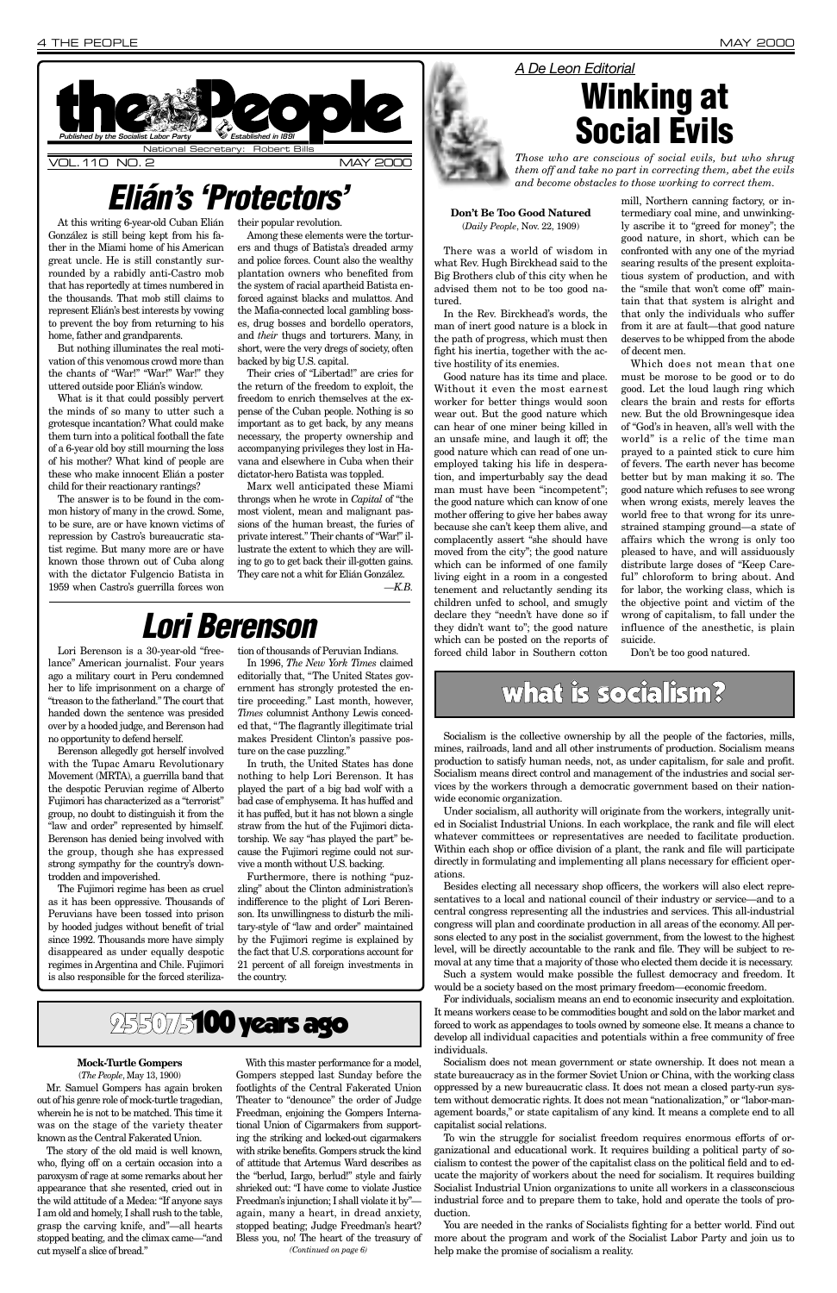At this writing 6-year-old Cuban Elián González is still being kept from his father in the Miami home of his American great uncle. He is still constantly surrounded by a rabidly anti-Castro mob that has reportedly at times numbered in the thousands. That mob still claims to represent Elián's best interests by vowing to prevent the boy from returning to his home, father and grandparents.

But nothing illuminates the real motivation of this venomous crowd more than the chants of "War!" "War!" War!" they uttered outside poor Elián's window.

What is it that could possibly pervert the minds of so many to utter such a grotesque incantation? What could make them turn into a political football the fate of a 6-year old boy still mourning the loss of his mother? What kind of people are these who make innocent Elián a poster child for their reactionary rantings?

The answer is to be found in the common history of many in the crowd. Some, to be sure, are or have known victims of repression by Castro's bureaucratic statist regime. But many more are or have known those thrown out of Cuba along with the dictator Fulgencio Batista in 1959 when Castro's guerrilla forces won

their popular revolution.

Among these elements were the torturers and thugs of Batista's dreaded army and police forces. Count also the wealthy plantation owners who benefited from the system of racial apartheid Batista enforced against blacks and mulattos. And the Mafia-connected local gambling bosses, drug bosses and bordello operators, and *their* thugs and torturers. Many, in short, were the very dregs of society, often backed by big U.S. capital.

Their cries of "Libertad!" are cries for the return of the freedom to exploit, the freedom to enrich themselves at the expense of the Cuban people. Nothing is so important as to get back, by any means necessary, the property ownership and accompanying privileges they lost in Havana and elsewhere in Cuba when their dictator-hero Batista was toppled.

Marx well anticipated these Miami throngs when he wrote in *Capital* of "the most violent, mean and malignant passions of the human breast, the furies of private interest." Their chants of "War!" illustrate the extent to which they are willing to go to get back their ill-gotten gains. They care not a whit for Elián González. *—K.B.*

#### **Don't Be Too Good Natured** (*Daily People*, Nov. 22, 1909)



There was a world of wisdom in what Rev. Hugh Birckhead said to the Big Brothers club of this city when he advised them not to be too good natured.

In the Rev. Birckhead's words, the man of inert good nature is a block in the path of progress, which must then fight his inertia, together with the active hostility of its enemies.

Good nature has its time and place. Without it even the most earnest worker for better things would soon wear out. But the good nature which can hear of one miner being killed in an unsafe mine, and laugh it off; the good nature which can read of one unemployed taking his life in desperation, and imperturbably say the dead man must have been "incompetent"; the good nature which can know of one mother offering to give her babes away because she can't keep them alive, and complacently assert "she should have moved from the city"; the good nature which can be informed of one family living eight in a room in a congested tenement and reluctantly sending its children unfed to school, and smugly declare they "needn't have done so if they didn't want to"; the good nature which can be posted on the reports of forced child labor in Southern cotton

mill, Northern canning factory, or intermediary coal mine, and unwinkingly ascribe it to "greed for money"; the good nature, in short, which can be confronted with any one of the myriad searing results of the present exploitatious system of production, and with the "smile that won't come off" maintain that that system is alright and that only the individuals who suffer from it are at fault—that good nature deserves to be whipped from the abode of decent men.

Which does not mean that one must be morose to be good or to do good. Let the loud laugh ring which clears the brain and rests for efforts new. But the old Browningesque idea of "God's in heaven, all's well with the world" is a relic of the time man prayed to a painted stick to cure him of fevers. The earth never has become better but by man making it so. The good nature which refuses to see wrong when wrong exists, merely leaves the world free to that wrong for its unrestrained stamping ground—a state of affairs which the wrong is only too pleased to have, and will assiduously distribute large doses of "Keep Careful" chloroform to bring about. And for labor, the working class, which is the objective point and victim of the wrong of capitalism, to fall under the influence of the anesthetic, is plain suicide.

Don't be too good natured.

## what is socialism?

## *Elián's 'Protectors'*

Lori Berenson is a 30-year-old "freelance" American journalist. Four years ago a military court in Peru condemned her to life imprisonment on a charge of "treason to the fatherland." The court that handed down the sentence was presided over by a hooded judge, and Berenson had no opportunity to defend herself.

Berenson allegedly got herself involved with the Tupac Amaru Revolutionary Movement (MRTA), a guerrilla band that the despotic Peruvian regime of Alberto Fujimori has characterized as a "terrorist" group, no doubt to distinguish it from the "law and order" represented by himself. Berenson has denied being involved with the group, though she has expressed strong sympathy for the country's downtrodden and impoverished.

The Fujimori regime has been as cruel as it has been oppressive. Thousands of Peruvians have been tossed into prison by hooded judges without benefit of trial since 1992. Thousands more have simply disappeared as under equally despotic regimes in Argentina and Chile. Fujimori is also responsible for the forced steriliza-

tion of thousands of Peruvian Indians.

In 1996, *The New York Times* claimed editorially that, "The United States government has strongly protested the entire proceeding." Last month, however, *Times* columnist Anthony Lewis conceded that, "The flagrantly illegitimate trial makes President Clinton's passive posture on the case puzzling."

In truth, the United States has done nothing to help Lori Berenson. It has played the part of a big bad wolf with a bad case of emphysema. It has huffed and it has puffed, but it has not blown a single straw from the hut of the Fujimori dictatorship. We say "has played the part" because the Fujimori regime could not survive a month without U.S. backing.

Furthermore, there is nothing "puzzling" about the Clinton administration's indifference to the plight of Lori Berenson. Its unwillingness to disturb the military-style of "law and order" maintained by the Fujimori regime is explained by

the fact that U.S. corporations account for 21 percent of all foreign investments in the country.

## *Lori Berenson*

### *A De Leon Editorial*



*Those who are conscious of social evils, but who shrug them off and take no part in correcting them, abet the evils and become obstacles to those working to correct them.*

Socialism is the collective ownership by all the people of the factories, mills, mines, railroads, land and all other instruments of production. Socialism means production to satisfy human needs, not, as under capitalism, for sale and profit. Socialism means direct control and management of the industries and social services by the workers through a democratic government based on their nationwide economic organization.

Under socialism, all authority will originate from the workers, integrally united in Socialist Industrial Unions. In each workplace, the rank and file will elect whatever committees or representatives are needed to facilitate production. Within each shop or office division of a plant, the rank and file will participate directly in formulating and implementing all plans necessary for efficient operations.

Besides electing all necessary shop officers, the workers will also elect representatives to a local and national council of their industry or service—and to a central congress representing all the industries and services. This all-industrial congress will plan and coordinate production in all areas of the economy. All persons elected to any post in the socialist government, from the lowest to the highest level, will be directly accountable to the rank and file. They will be subject to removal at any time that a majority of those who elected them decide it is necessary. Such a system would make possible the fullest democracy and freedom. It would be a society based on the most primary freedom—economic freedom. For individuals, socialism means an end to economic insecurity and exploitation. It means workers cease to be commodities bought and sold on the labor market and forced to work as appendages to tools owned by someone else. It means a chance to develop all individual capacities and potentials within a free community of free individuals.

Socialism does not mean government or state ownership. It does not mean a state bureaucracy as in the former Soviet Union or China, with the working class oppressed by a new bureaucratic class. It does not mean a closed party-run system without democratic rights. It does not mean "nationalization," or "labor-management boards," or state capitalism of any kind. It means a complete end to all capitalist social relations.

To win the struggle for socialist freedom requires enormous efforts of organizational and educational work. It requires building a political party of socialism to contest the power of the capitalist class on the political field and to educate the majority of workers about the need for socialism. It requires building Socialist Industrial Union organizations to unite all workers in a classconscious industrial force and to prepare them to take, hold and operate the tools of production.

You are needed in the ranks of Socialists fighting for a better world. Find out more about the program and work of the Socialist Labor Party and join us to help make the promise of socialism a reality.



#### **Mock-Turtle Gompers**

(*The People*, May 13, 1900) Mr. Samuel Gompers has again broken out of his genre role of mock-turtle tragedian, wherein he is not to be matched. This time it was on the stage of the variety theater known as the Central Fakerated Union.

The story of the old maid is well known, who, flying off on a certain occasion into a paroxysm of rage at some remarks about her appearance that she resented, cried out in the wild attitude of a Medea: "If anyone says I am old and homely, I shall rush to the table, grasp the carving knife, and"—all hearts stopped beating, and the climax came—"and cut myself a slice of bread."

With this master performance for a model, Gompers stepped last Sunday before the footlights of the Central Fakerated Union Theater to "denounce" the order of Judge Freedman, enjoining the Gompers International Union of Cigarmakers from supporting the striking and locked-out cigarmakers with strike benefits. Gompers struck the kind of attitude that Artemus Ward describes as the "berlud, Iargo, berlud!" style and fairly shrieked out: "I have come to violate Justice Freedman's injunction; I shall violate it by" again, many a heart, in dread anxiety, stopped beating; Judge Freedman's heart? Bless you, no! The heart of the treasury of *(Continued on page 6)*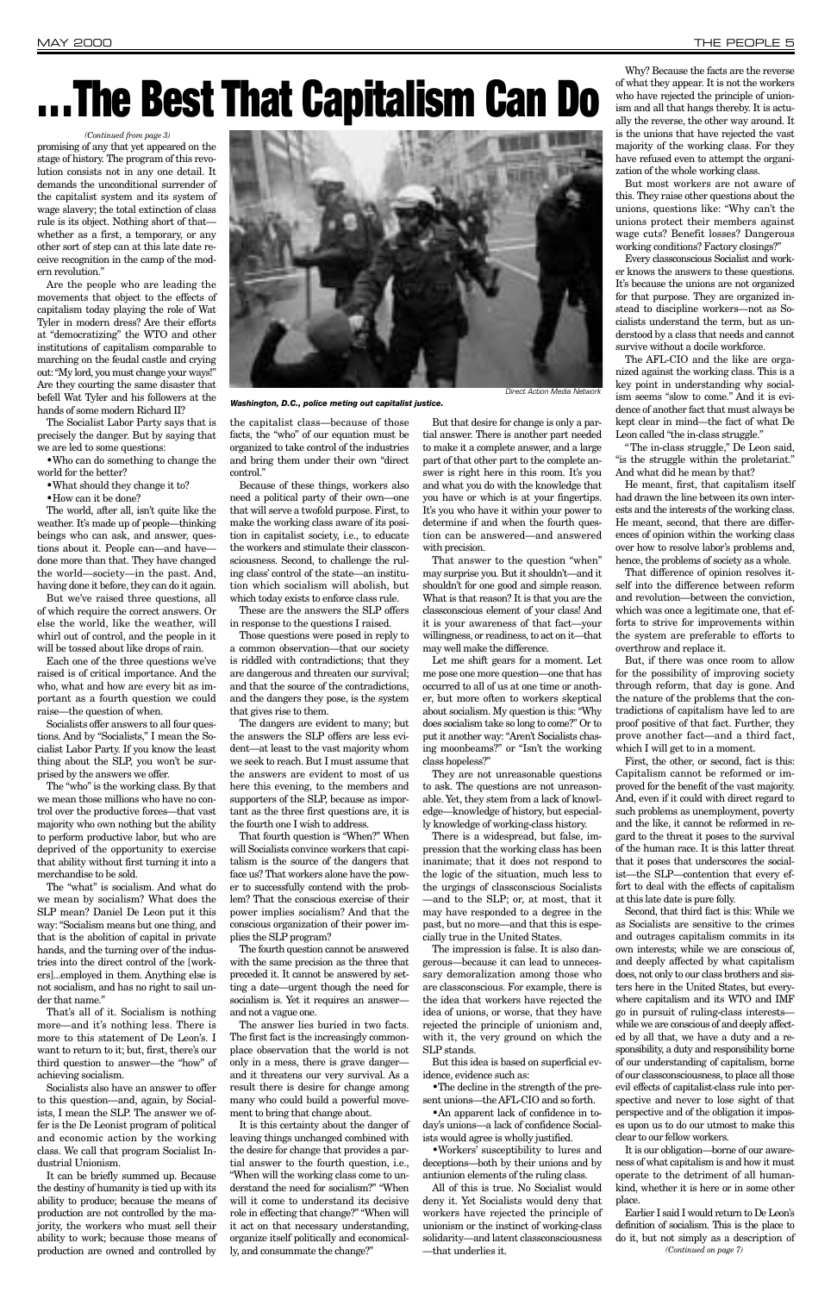promising of any that yet appeared on the stage of history. The program of this revolution consists not in any one detail. It demands the unconditional surrender of the capitalist system and its system of wage slavery; the total extinction of class rule is its object. Nothing short of that whether as a first, a temporary, or any other sort of step can at this late date receive recognition in the camp of the modern revolution."

Are the people who are leading the movements that object to the effects of capitalism today playing the role of Wat Tyler in modern dress? Are their efforts at "democratizing" the WTO and other institutions of capitalism comparable to marching on the feudal castle and crying out: "My lord, you must change your ways!" Are they courting the same disaster that befell Wat Tyler and his followers at the hands of some modern Richard II?

The Socialist Labor Party says that is precisely the danger. But by saying that we are led to some questions:

•Who can do something to change the world for the better?

•What should they change it to?

•How can it be done?

The world, after all, isn't quite like the weather. It's made up of people—thinking beings who can ask, and answer, questions about it. People can—and have done more than that. They have changed the world—society—in the past. And, having done it before, they can do it again.

But we've raised three questions, all of which require the correct answers. Or else the world, like the weather, will whirl out of control, and the people in it will be tossed about like drops of rain.

Each one of the three questions we've raised is of critical importance. And the who, what and how are every bit as important as a fourth question we could raise—the question of when.

the capitalist class—because of those facts, the "who" of our equation must be organized to take control of the industries and bring them under their own "direct control."

Socialists offer answers to all four questions. And by "Socialists," I mean the Socialist Labor Party. If you know the least thing about the SLP, you won't be surprised by the answers we offer.

The "who" is the working class. By that we mean those millions who have no control over the productive forces—that vast majority who own nothing but the ability to perform productive labor, but who are deprived of the opportunity to exercise that ability without first turning it into a merchandise to be sold.

The "what" is socialism. And what do we mean by socialism? What does the SLP mean? Daniel De Leon put it this way: "Socialism means but one thing, and that is the abolition of capital in private hands, and the turning over of the industries into the direct control of the [workers]...employed in them. Anything else is not socialism, and has no right to sail under that name."

That's all of it. Socialism is nothing more—and it's nothing less. There is more to this statement of De Leon's. I want to return to it; but, first, there's our third question to answer—the "how" of achieving socialism.

Socialists also have an answer to offer to this question—and, again, by Socialists, I mean the SLP. The answer we offer is the De Leonist program of political and economic action by the working class. We call that program Socialist Industrial Unionism.

It can be briefly summed up. Because the destiny of humanity is tied up with its ability to produce; because the means of production are not controlled by the majority, the workers who must sell their ability to work; because those means of production are owned and controlled by

Because of these things, workers also need a political party of their own—one that will serve a twofold purpose. First, to make the working class aware of its position in capitalist society, i.e., to educate the workers and stimulate their classconsciousness. Second, to challenge the ruling class' control of the state—an institution which socialism will abolish, but which today exists to enforce class rule.

These are the answers the SLP offers in response to the questions I raised.

Those questions were posed in reply to a common observation—that our society is riddled with contradictions; that they are dangerous and threaten our survival; and that the source of the contradictions, and the dangers they pose, is the system that gives rise to them.

The dangers are evident to many; but the answers the SLP offers are less evident—at least to the vast majority whom we seek to reach. But I must assume that the answers are evident to most of us here this evening, to the members and supporters of the SLP, because as important as the three first questions are, it is the fourth one I wish to address.

The AFL-CIO and the like are organized against the working class. This is a key point in understanding why socialism seems "slow to come." And it is evidence of another fact that must always be kept clear in mind—the fact of what De Leon called "the in-class struggle."

That fourth question is "When?" When will Socialists convince workers that capitalism is the source of the dangers that face us? That workers alone have the power to successfully contend with the problem? That the conscious exercise of their power implies socialism? And that the conscious organization of their power implies the SLP program?

The fourth question cannot be answered

with the same precision as the three that preceded it. It cannot be answered by setting a date—urgent though the need for socialism is. Yet it requires an answer and not a vague one.

The answer lies buried in two facts. The first fact is the increasingly commonplace observation that the world is not only in a mess, there is grave danger and it threatens our very survival. As a result there is desire for change among many who could build a powerful movement to bring that change about.

It is this certainty about the danger of leaving things unchanged combined with the desire for change that provides a partial answer to the fourth question, i.e., "When will the working class come to understand the need for socialism?" "When will it come to understand its decisive role in effecting that change?" "When will it act on that necessary understanding, organize itself politically and economically, and consummate the change?"

But that desire for change is only a partial answer. There is another part needed to make it a complete answer, and a large part of that other part to the complete answer is right here in this room. It's you and what you do with the knowledge that you have or which is at your fingertips. It's you who have it within your power to determine if and when the fourth question can be answered—and answered with precision.

That answer to the question "when" may surprise you. But it shouldn't—and it shouldn't for one good and simple reason. What is that reason? It is that you are the classconscious element of your class! And it is your awareness of that fact—your willingness, or readiness, to act on it—that may well make the difference.

Let me shift gears for a moment. Let me pose one more question—one that has occurred to all of us at one time or another, but more often to workers skeptical about socialism. My question is this: "Why does socialism take so long to come?" Or to put it another way: "Aren't Socialists chasing moonbeams?" or "Isn't the working class hopeless?"

They are not unreasonable questions to ask. The questions are not unreasonable. Yet, they stem from a lack of knowledge—knowledge of history, but especially knowledge of working-class history.

There is a widespread, but false, impression that the working class has been inanimate; that it does not respond to the logic of the situation, much less to the urgings of classconscious Socialists —and to the SLP; or, at most, that it may have responded to a degree in the past, but no more—and that this is especially true in the United States.

The impression is false. It is also dan-

gerous—because it can lead to unnecessary demoralization among those who are classconscious. For example, there is the idea that workers have rejected the idea of unions, or worse, that they have rejected the principle of unionism and, with it, the very ground on which the SLP stands.

But this idea is based on superficial evidence, evidence such as:

•The decline in the strength of the present unions—the AFL-CIO and so forth.

•An apparent lack of confidence in today's unions—a lack of confidence Socialists would agree is wholly justified.

•Workers' susceptibility to lures and deceptions—both by their unions and by antiunion elements of the ruling class.

All of this is true. No Socialist would deny it. Yet Socialists would deny that workers have rejected the principle of unionism or the instinct of working-class solidarity—and latent classconsciousness —that underlies it.

Why? Because the facts are the reverse of what they appear. It is not the workers who have rejected the principle of unionism and all that hangs thereby. It is actually the reverse, the other way around. It is the unions that have rejected the vast majority of the working class. For they have refused even to attempt the organization of the whole working class.

But most workers are not aware of this. They raise other questions about the unions, questions like: "Why can't the unions protect their members against wage cuts? Benefit losses? Dangerous working conditions? Factory closings?"

Every classconscious Socialist and worker knows the answers to these questions. It's because the unions are not organized for that purpose. They are organized instead to discipline workers—not as Socialists understand the term, but as understood by a class that needs and cannot survive without a docile workforce.

"The in-class struggle," De Leon said, "is the struggle within the proletariat." And what did he mean by that?

He meant, first, that capitalism itself had drawn the line between its own interests and the interests of the working class. He meant, second, that there are differences of opinion within the working class over how to resolve labor's problems and, hence, the problems of society as a whole.

That difference of opinion resolves itself into the difference between reform and revolution—between the conviction, which was once a legitimate one, that efforts to strive for improvements within the system are preferable to efforts to overthrow and replace it.

But, if there was once room to allow for the possibility of improving society through reform, that day is gone. And the nature of the problems that the contradictions of capitalism have led to are proof positive of that fact. Further, they prove another fact—and a third fact, which I will get to in a moment.

First, the other, or second, fact is this: Capitalism cannot be reformed or improved for the benefit of the vast majority. And, even if it could with direct regard to such problems as unemployment, poverty and the like, it cannot be reformed in regard to the threat it poses to the survival of the human race. It is this latter threat that it poses that underscores the socialist—the SLP—contention that every effort to deal with the effects of capitalism at this late date is pure folly.

Second, that third fact is this: While we as Socialists are sensitive to the crimes and outrages capitalism commits in its own interests; while we are conscious of, and deeply affected by what capitalism does, not only to our class brothers and sisters here in the United States, but everywhere capitalism and its WTO and IMF go in pursuit of ruling-class interests while we are conscious of and deeply affected by all that, we have a duty and a responsibility, a duty and responsibility borne of our understanding of capitalism, borne of our classconsciousness, to place all those evil effects of capitalist-class rule into perspective and never to lose sight of that perspective and of the obligation it imposes upon us to do our utmost to make this clear to our fellow workers. It is our obligation—borne of our awareness of what capitalism is and how it must operate to the detriment of all humankind, whether it is here or in some other place. Earlier I said I would return to De Leon's definition of socialism. This is the place to do it, but not simply as a description of *(Continued on page 7)*

# **. . . The Best That Capitalism Can Do**



*Washington, D.C., police meting out capitalist justice.*

#### *(Continued from page 3)*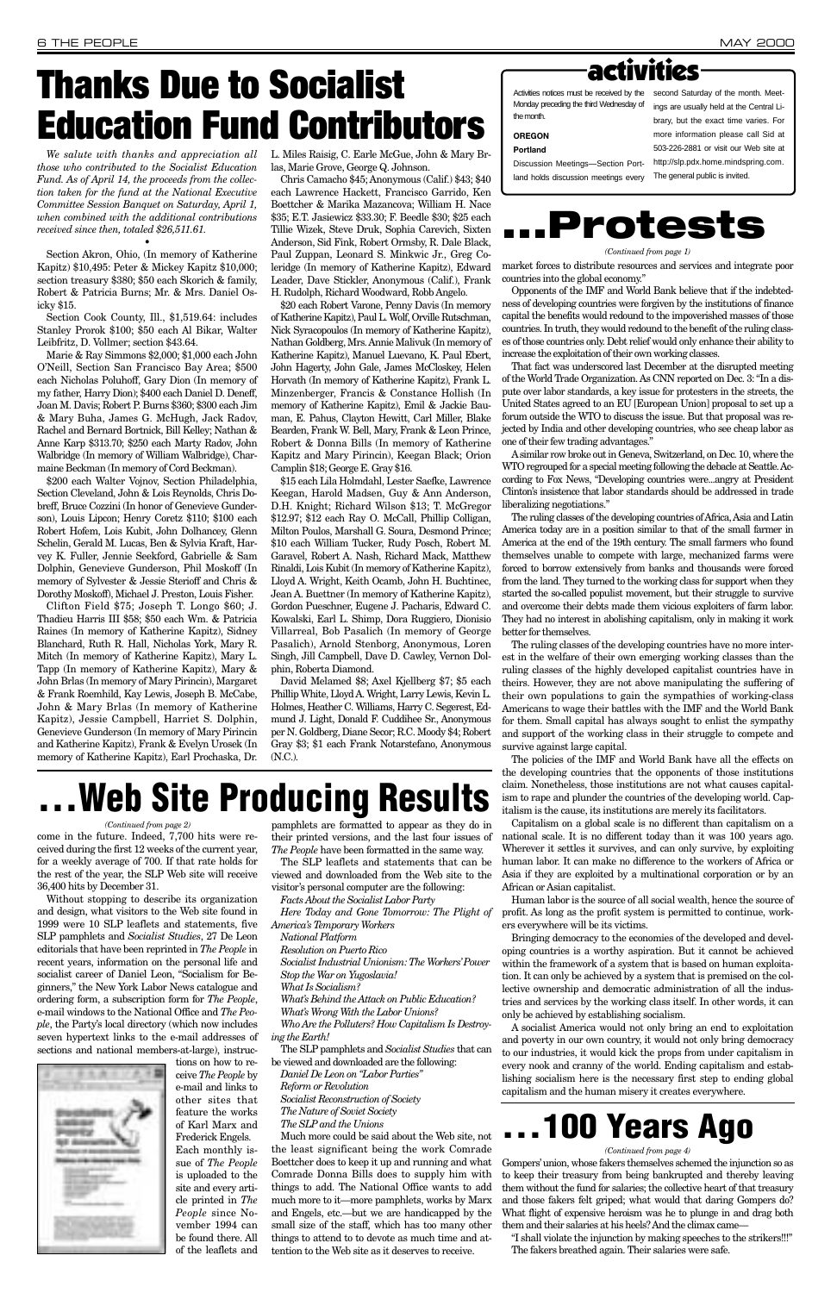# **Thanks Due to Socialist Education Fund Contributors**

*We salute with thanks and appreciation all those who contributed to the Socialist Education Fund. As of April 14, the proceeds from the collection taken for the fund at the National Executive Committee Session Banquet on Saturday, April 1, when combined with the additional contributions received since then, totaled \$26,511.61.* 

•

Section Akron, Ohio, (In memory of Katherine Kapitz) \$10,495: Peter & Mickey Kapitz \$10,000; section treasury \$380; \$50 each Skorich & family, Robert & Patricia Burns; Mr. & Mrs. Daniel Osicky \$15.

Section Cook County, Ill., \$1,519.64: includes Stanley Prorok \$100; \$50 each Al Bikar, Walter Leibfritz, D. Vollmer; section \$43.64.

Marie & Ray Simmons \$2,000; \$1,000 each John O'Neill, Section San Francisco Bay Area; \$500 each Nicholas Poluhoff, Gary Dion (In memory of my father, Harry Dion); \$400 each Daniel D. Deneff, Joan M. Davis; Robert P. Burns \$360; \$300 each Jim & Mary Buha, James G. McHugh, Jack Radov, Rachel and Bernard Bortnick, Bill Kelley; Nathan & Anne Karp \$313.70; \$250 each Marty Radov, John Walbridge (In memory of William Walbridge), Charmaine Beckman (In memory of Cord Beckman).

\$200 each Walter Vojnov, Section Philadelphia, Section Cleveland, John & Lois Reynolds, Chris Dobreff, Bruce Cozzini (In honor of Genevieve Gunderson), Louis Lipcon; Henry Coretz \$110; \$100 each Robert Hofem, Lois Kubit, John Dolhancey, Glenn Schelin, Gerald M. Lucas, Ben & Sylvia Kraft, Harvey K. Fuller, Jennie Seekford, Gabrielle & Sam Dolphin, Genevieve Gunderson, Phil Moskoff (In memory of Sylvester & Jessie Sterioff and Chris & Dorothy Moskoff), Michael J. Preston, Louis Fisher.

Clifton Field \$75; Joseph T. Longo \$60; J. Thadieu Harris III \$58; \$50 each Wm. & Patricia Raines (In memory of Katherine Kapitz), Sidney Blanchard, Ruth R. Hall, Nicholas York, Mary R. Mitch (In memory of Katherine Kapitz), Mary L. Tapp (In memory of Katherine Kapitz), Mary & John Brlas (In memory of Mary Pirincin), Margaret & Frank Roemhild, Kay Lewis, Joseph B. McCabe, John & Mary Brlas (In memory of Katherine Kapitz), Jessie Campbell, Harriet S. Dolphin, Genevieve Gunderson (In memory of Mary Pirincin and Katherine Kapitz), Frank & Evelyn Urosek (In memory of Katherine Kapitz), Earl Prochaska, Dr. L. Miles Raisig, C. Earle McGue, John & Mary Brlas, Marie Grove, George Q. Johnson.

Chris Camacho \$45; Anonymous (Calif.) \$43; \$40 each Lawrence Hackett, Francisco Garrido, Ken Boettcher & Marika Mazancova; William H. Nace \$35; E.T. Jasiewicz \$33.30; F. Beedle \$30; \$25 each Tillie Wizek, Steve Druk, Sophia Carevich, Sixten Anderson, Sid Fink, Robert Ormsby, R. Dale Black, Paul Zuppan, Leonard S. Minkwic Jr., Greg Coleridge (In memory of Katherine Kapitz), Edward Leader, Dave Stickler, Anonymous (Calif.), Frank H. Rudolph, Richard Woodward, Robb Angelo.

\$20 each Robert Varone, Penny Davis (In memory of Katherine Kapitz), Paul L. Wolf, Orville Rutschman, Nick Syracopoulos (In memory of Katherine Kapitz), Nathan Goldberg, Mrs. Annie Malivuk (In memory of Katherine Kapitz), Manuel Luevano, K. Paul Ebert, John Hagerty, John Gale, James McCloskey, Helen Horvath (In memory of Katherine Kapitz), Frank L. Minzenberger, Francis & Constance Hollish (In memory of Katherine Kapitz), Emil & Jackie Bauman, E. Pahus, Clayton Hewitt, Carl Miller, Blake Bearden, Frank W. Bell, Mary, Frank & Leon Prince, Robert & Donna Bills (In memory of Katherine Kapitz and Mary Pirincin), Keegan Black; Orion Camplin \$18; George E. Gray \$16.

\$15 each Lila Holmdahl, Lester Saefke, Lawrence Keegan, Harold Madsen, Guy & Ann Anderson, D.H. Knight; Richard Wilson \$13; T. McGregor \$12.97; \$12 each Ray O. McCall, Phillip Colligan, Milton Poulos, Marshall G. Soura, Desmond Prince; \$10 each William Tucker, Rudy Posch, Robert M. Garavel, Robert A. Nash, Richard Mack, Matthew Rinaldi, Lois Kubit (In memory of Katherine Kapitz), Lloyd A. Wright, Keith Ocamb, John H. Buchtinec, Jean A. Buettner (In memory of Katherine Kapitz), Gordon Pueschner, Eugene J. Pacharis, Edward C. Kowalski, Earl L. Shimp, Dora Ruggiero, Dionisio Villarreal, Bob Pasalich (In memory of George Pasalich), Arnold Stenborg, Anonymous, Loren Singh, Jill Campbell, Dave D. Cawley, Vernon Dolphin, Roberta Diamond.

David Melamed \$8; Axel Kjellberg \$7; \$5 each Phillip White, Lloyd A. Wright, Larry Lewis, Kevin L. Holmes, Heather C. Williams, Harry C. Segerest, Edmund J. Light, Donald F. Cuddihee Sr., Anonymous per N. Goldberg, Diane Secor; R.C. Moody \$4; Robert Gray \$3; \$1 each Frank Notarstefano, Anonymous (N.C.).

## **Web Site Producing Results**



Activities notices must be received by the second Saturday of the month. Meet-Monday preceding the third Wednesday of the month.

**OREGON**

**Portland** Discussion Meetings—Section Portland holds discussion meetings every

ings are usually held at the Central Library, but the exact time varies. For more information please call Sid at 503-226-2881 or visit our Web site at http://slp.pdx.home.mindspring.com. The general public is invited.

come in the future. Indeed, 7,700 hits were received during the first 12 weeks of the current year, for a weekly average of 700. If that rate holds for the rest of the year, the SLP Web site will receive 36,400 hits by December 31.

Without stopping to describe its organization and design, what visitors to the Web site found in 1999 were 10 SLP leaflets and statements, five SLP pamphlets and *Socialist Studies*, 27 De Leon editorials that have been reprinted in *The People* in recent years, information on the personal life and socialist career of Daniel Leon, "Socialism for Beginners," the New York Labor News catalogue and ordering form, a subscription form for *The People*, e-mail windows to the National Office and *The People*, the Party's local directory (which now includes seven hypertext links to the e-mail addresses of sections and national members-at-large), instructions on how to receive *The People* by e-mail and links to other sites that feature the works of Karl Marx and Frederick Engels. Each monthly issue of *The People* is uploaded to the site and every article printed in *The People* since November 1994 can be found there. All of the leaflets and

pamphlets are formatted to appear as they do in their printed versions, and the last four issues of *The People* have been formatted in the same way.

The SLP leaflets and statements that can be viewed and downloaded from the Web site to the visitor's personal computer are the following:

*Facts About the Socialist Labor Party*

*Here Today and Gone Tomorrow: The Plight of America's Temporary Workers* 

*National Platform*

*Resolution on Puerto Rico*

*Socialist Industrial Unionism: The Workers'Power Stop the War on Yugoslavia!*

*What Is Socialism?* 

*What's Behind the Attack on Public Education? What's Wrong With the Labor Unions? Who Are the Polluters? How Capitalism Is Destroying the Earth!*

The SLP pamphlets and *Socialist Studies* that can be viewed and downloaded are the following: *Daniel De Leon on "Labor Parties"*

*Reform or Revolution Socialist Reconstruction of Society The Nature of Soviet Society*

*The SLP and the Unions*

Much more could be said about the Web site, not the least significant being the work Comrade Boettcher does to keep it up and running and what Comrade Donna Bills does to supply him with things to add. The National Office wants to add much more to it—more pamphlets, works by Marx and Engels, etc.—but we are handicapped by the small size of the staff, which has too many other things to attend to to devote as much time and attention to the Web site as it deserves to receive.

#### *(Continued from page 2)*

Gompers'union, whose fakers themselves schemed the injunction so as to keep their treasury from being bankrupted and thereby leaving them without the fund for salaries; the collective heart of that treasury and those fakers felt griped; what would that daring Gompers do? What flight of expensive heroism was he to plunge in and drag both them and their salaries at his heels? And the climax came—

"I shall violate the injunction by making speeches to the strikers!!!" The fakers breathed again. Their salaries were safe.

## **. . . 100 Years Ago**

#### *(Continued from page 4)*



*(Continued from page 1)*

market forces to distribute resources and services and integrate poor countries into the global economy." Opponents of the IMF and World Bank believe that if the indebted-

ness of developing countries were forgiven by the institutions of finance capital the benefits would redound to the impoverished masses of those countries. In truth, they would redound to the benefit of the ruling classes of those countries only. Debt relief would only enhance their ability to

increase the exploitation of their own working classes.

That fact was underscored last December at the disrupted meeting of the World Trade Organization. As CNN reported on Dec. 3: "In a dispute over labor standards, a key issue for protesters in the streets, the United States agreed to an EU [European Union] proposal to set up a



forum outside the WTO to discuss the issue. But that proposal was rejected by India and other developing countries, who see cheap labor as one of their few trading advantages."

Asimilar row broke out in Geneva, Switzerland, on Dec. 10, where the WTO regrouped for a special meeting following the debacle at Seattle. According to Fox News, "Developing countries were...angry at President Clinton's insistence that labor standards should be addressed in trade liberalizing negotiations."

The ruling classes of the developing countries of Africa, Asia and Latin America today are in a position similar to that of the small farmer in America at the end of the 19th century. The small farmers who found themselves unable to compete with large, mechanized farms were forced to borrow extensively from banks and thousands were forced from the land. They turned to the working class for support when they started the so-called populist movement, but their struggle to survive and overcome their debts made them vicious exploiters of farm labor. They had no interest in abolishing capitalism, only in making it work better for themselves.

The ruling classes of the developing countries have no more interest in the welfare of their own emerging working classes than the ruling classes of the highly developed capitalist countries have in theirs. However, they are not above manipulating the suffering of their own populations to gain the sympathies of working-class Americans to wage their battles with the IMF and the World Bank for them. Small capital has always sought to enlist the sympathy and support of the working class in their struggle to compete and survive against large capital.

The policies of the IMF and World Bank have all the effects on the developing countries that the opponents of those institutions claim. Nonetheless, those institutions are not what causes capitalism to rape and plunder the countries of the developing world. Capitalism is the cause, its institutions are merely its facilitators.

Capitalism on a global scale is no different than capitalism on a national scale. It is no different today than it was 100 years ago. Wherever it settles it survives, and can only survive, by exploiting human labor. It can make no difference to the workers of Africa or Asia if they are exploited by a multinational corporation or by an African or Asian capitalist.

Human labor is the source of all social wealth, hence the source of profit. As long as the profit system is permitted to continue, workers everywhere will be its victims.

Bringing democracy to the economies of the developed and developing countries is a worthy aspiration. But it cannot be achieved within the framework of a system that is based on human exploitation. It can only be achieved by a system that is premised on the collective ownership and democratic administration of all the industries and services by the working class itself. In other words, it can only be achieved by establishing socialism. A socialist America would not only bring an end to exploitation and poverty in our own country, it would not only bring democracy to our industries, it would kick the props from under capitalism in every nook and cranny of the world. Ending capitalism and establishing socialism here is the necessary first step to ending global capitalism and the human misery it creates everywhere.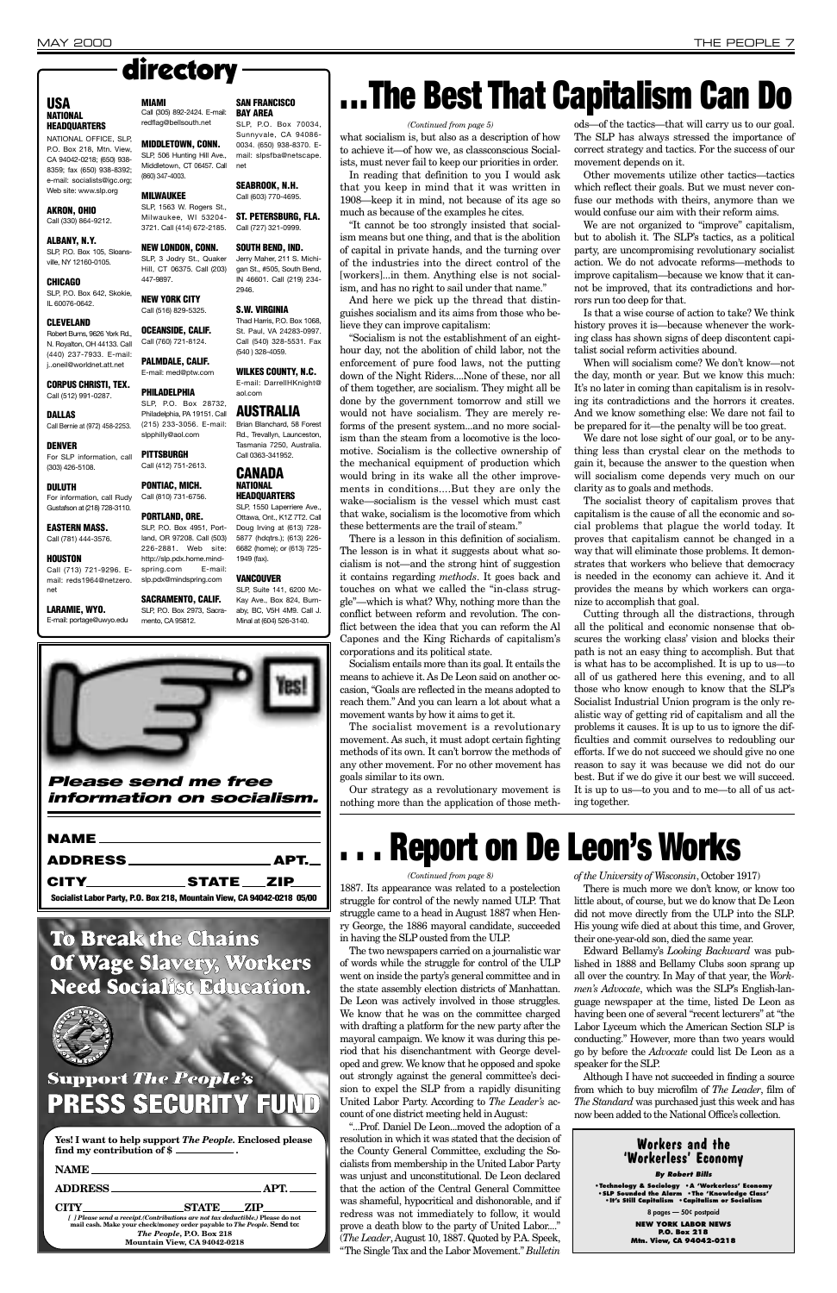

|                                                                         | _STATE____ZIP___ |  |
|-------------------------------------------------------------------------|------------------|--|
| Socialist Labor Party, P.O. Box 218, Mountain View, CA 94042-0218 05/00 |                  |  |

what socialism is, but also as a description of how to achieve it—of how we, as classconscious Social-

ists, must never fail to keep our priorities in order. In reading that definition to you I would ask that you keep in mind that it was written in 1908—keep it in mind, not because of its age so

much as because of the examples he cites. "It cannot be too strongly insisted that socialism means but one thing, and that is the abolition of capital in private hands, and the turning over of the industries into the direct control of the [workers]...in them. Anything else is not socialism, and has no right to sail under that name."

And here we pick up the thread that distinguishes socialism and its aims from those who believe they can improve capitalism:

"Socialism is not the establishment of an eighthour day, not the abolition of child labor, not the enforcement of pure food laws, not the putting down of the Night Riders....None of these, nor all of them together, are socialism. They might all be done by the government tomorrow and still we would not have socialism. They are merely reforms of the present system...and no more socialism than the steam from a locomotive is the locomotive. Socialism is the collective ownership of the mechanical equipment of production which would bring in its wake all the other improvements in conditions....But they are only the wake—socialism is the vessel which must cast that wake, socialism is the locomotive from which these betterments are the trail of steam."

There is a lesson in this definition of socialism. The lesson is in what it suggests about what socialism is not—and the strong hint of suggestion it contains regarding *methods*. It goes back and touches on what we called the "in-class struggle"—which is what? Why, nothing more than the conflict between reform and revolution. The conflict between the idea that you can reform the Al Capones and the King Richards of capitalism's corporations and its political state.

Socialism entails more than its goal. It entails the means to achieve it. As De Leon said on another occasion, "Goals are reflected in the means adopted to reach them." And you can learn a lot about what a movement wants by how it aims to get it.

The socialist movement is a revolutionary movement. As such, it must adopt certain fighting methods of its own. It can't borrow the methods of any other movement. For no other movement has goals similar to its own.

Our strategy as a revolutionary movement is nothing more than the application of those meth-

#### ods—of the tactics—that will carry us to our goal. The SLP has always stressed the importance of correct strategy and tactics. For the success of our movement depends on it.

Other movements utilize other tactics—tactics which reflect their goals. But we must never confuse our methods with theirs, anymore than we would confuse our aim with their reform aims.

We are not organized to "improve" capitalism, but to abolish it. The SLP's tactics, as a political party, are uncompromising revolutionary socialist action. We do not advocate reforms—methods to improve capitalism—because we know that it cannot be improved, that its contradictions and horrors run too deep for that.

Is that a wise course of action to take? We think history proves it is—because whenever the working class has shown signs of deep discontent capitalist social reform activities abound.

When will socialism come? We don't know—not the day, month or year. But we know this much: It's no later in coming than capitalism is in resolving its contradictions and the horrors it creates. And we know something else: We dare not fail to be prepared for it—the penalty will be too great.

We dare not lose sight of our goal, or to be anything less than crystal clear on the methods to gain it, because the answer to the question when will socialism come depends very much on our clarity as to goals and methods.

The socialist theory of capitalism proves that capitalism is the cause of all the economic and social problems that plague the world today. It proves that capitalism cannot be changed in a way that will eliminate those problems. It demonstrates that workers who believe that democracy is needed in the economy can achieve it. And it provides the means by which workers can organize to accomplish that goal.

SLP, P.O. Box 642, Skokie, IL 60076-0642.

> Cutting through all the distractions, through all the political and economic nonsense that obscures the working class' vision and blocks their path is not an easy thing to accomplish. But that is what has to be accomplished. It is up to us—to all of us gathered here this evening, and to all those who know enough to know that the SLP's Socialist Industrial Union program is the only realistic way of getting rid of capitalism and all the problems it causes. It is up to us to ignore the difficulties and commit ourselves to redoubling our efforts. If we do not succeed we should give no one reason to say it was because we did not do our best. But if we do give it our best we will succeed. It is up to us—to you and to me—to all of us acting together.

### **To Break the Chains**

**Of Wage Slavery, Workers Need Socialist Education.**



### **Support** *The People's* **PRESS SECURITY FUND**

| Yes! I want to help support <i>The People</i> . Enclosed please |  |
|-----------------------------------------------------------------|--|
| find my contribution of \$                                      |  |

| <b>NAME</b>                                                                                                                                                                                                                                              |  |      |  |  |
|----------------------------------------------------------------------------------------------------------------------------------------------------------------------------------------------------------------------------------------------------------|--|------|--|--|
| <b>ADDRESS</b>                                                                                                                                                                                                                                           |  | APT. |  |  |
| <b>STATE</b><br>CITY<br>- 7.IP<br>[ ] Please send a receipt. (Contributions are not tax deductible.) Please do not<br>mail cash. Make your check/money order payable to The People. Send to:<br>The People, P.O. Box 218<br>Mountain View, CA 94042-0218 |  |      |  |  |
|                                                                                                                                                                                                                                                          |  |      |  |  |

## **. . . The Best That Capitalism Can Do**

#### *(Continued from page 5)*

1887. Its appearance was related to a postelection struggle for control of the newly named ULP. That struggle came to a head in August 1887 when Henry George, the 1886 mayoral candidate, succeeded in having the SLP ousted from the ULP.

The two newspapers carried on a journalistic war of words while the struggle for control of the ULP went on inside the party's general committee and in the state assembly election districts of Manhattan. De Leon was actively involved in those struggles. We know that he was on the committee charged with drafting a platform for the new party after the mayoral campaign. We know it was during this period that his disenchantment with George developed and grew. We know that he opposed and spoke out strongly against the general committee's decision to expel the SLP from a rapidly disuniting United Labor Party. According to *The Leader's* account of one district meeting held in August:

"...Prof. Daniel De Leon...moved the adoption of a resolution in which it was stated that the decision of the County General Committee, excluding the Socialists from membership in the United Labor Party was unjust and unconstitutional. De Leon declared that the action of the Central General Committee was shameful, hypocritical and dishonorable, and if redress was not immediately to follow, it would prove a death blow to the party of United Labor...." (*The Leader*, August 10, 1887. Quoted by P.A. Speek, "The Single Tax and the Labor Movement." *Bulletin*

*of the University of Wisconsin*, October 1917) There is much more we don't know, or know too little about, of course, but we do know that De Leon did not move directly from the ULP into the SLP. His young wife died at about this time, and Grover, their one-year-old son, died the same year.

Edward Bellamy's *Looking Backward* was published in 1888 and Bellamy Clubs soon sprang up all over the country. In May of that year, the *Workmen's Advocate*, which was the SLP's English-language newspaper at the time, listed De Leon as having been one of several "recent lecturers" at "the Labor Lyceum which the American Section SLP is conducting." However, more than two years would go by before the *Advocate* could list De Leon as a speaker for the SLP. Although I have not succeeded in finding a source from which to buy microfilm of *The Leader*, film of *The Standard* was purchased just this week and has now been added to the National Office's collection.

## **. . . Report on De Leon's Works**

#### *(Continued from page 8)*

#### **Workers and the 'Workerless' Economy**

*By Robert Bills*

**•Technology & Sociology •A 'Workerless' Economy •SLP Sounded the Alarm •The 'Knowledge Class' •It's Still Capitalism •Capitalism or Socialism**

**8 pages — 50¢ postpaid**

**NEW YORK LABOR NEWS P.O. Box 218 Mtn. View, CA 94042-0218**

#### **USA NATIONAL HEADQUARTERS**

NATIONAL OFFICE, SLP, P.O. Box 218, Mtn. View, CA 94042-0218; (650) 938- 8359; fax (650) 938-8392; e-mail: socialists@igc.org; Web site: www.slp.org

#### **AKRON, OHIO** Call (330) 864-9212.

#### **ALBANY, N.Y.** SLP, P.O. Box 105, Sloans-

ville, NY 12160-0105. **CHICAGO**

#### **CLEVELAND**

Robert Burns, 9626 York Rd., N. Royalton, OH 44133. Call (440) 237-7933. E-mail: j..oneil@worldnet.att.net

**CORPUS CHRISTI, TEX.** Call (512) 991-0287.

#### **DALLAS** Call Bernie at (972) 458-2253.

#### **DULUTH** For information, call Rudy

Gustafson at (218) 728-3110.

#### **EASTERN MASS.** Call (781) 444-3576.

**HOUSTON**

Call (713) 721-9296. Email: reds1964@netzero. net

#### **LARAMIE, WYO.** E-mail: portage@uwyo.edu

#### **MIAMI**

(860) 347-4003.

**DENVER** For SLP information, call (303) 426-5108. slpphilly@aol.com

**MILWAUKEE** SLP, 1563 W. Rogers St.,

Milwaukee, WI 53204- 3721. Call (414) 672-2185.

447-9897. **NEW YORK CITY** Call (516) 829-5325.

#### **OCEANSIDE, CALIF.**

Call (760) 721-8124. **PALMDALE, CALIF.**

E-mail: med@ptw.com

Call (305) 892-2424. E-mail: redflag@bellsouth.net **MIDDLETOWN, CONN. BAY AREA** SLP, P.O. Box 70034, Sunnyvale, CA 94086- 0034. (650) 938-8370. E-

**PHILADELPHIA** SLP, P.O. Box 28732, Philadelphia, PA 19151. Call (215) 233-3056. E-mail:

#### SLP, 506 Hunting Hill Ave., Middletown, CT 06457. Call mail: slpsfba@netscape. net

**PITTSBURGH** Call (412) 751-2613.

### **PONTIAC, MICH.**

#### Call (810) 731-6756. **PORTLAND, ORE.** SLP, P.O. Box 4951, Portland, OR 97208. Call (503) 226-2881. Web site: http://slp.pdx.home.mindspring.com E-mail:

#### **NEW LONDON, CONN.** SLP, 3 Jodry St., Quaker Hill, CT 06375. Call (203) **SOUTH BEND, IND.** Jerry Maher, 211 S. Michigan St., #505, South Bend,

slp.pdx@mindspring.com

**SACRAMENTO, CALIF.** SLP, P.O. Box 2973, Sacramento, CA 95812.

**SAN FRANCISCO**

**SEABROOK, N.H.** Call (603) 770-4695.

**ST. PETERSBURG, FLA.** Call (727) 321-0999.

IN 46601. Call (219) 234-

2946.

**S.W. VIRGINIA** Thad Harris, P.O. Box 1068, St. Paul, VA 24283-0997. Call (540) 328-5531. Fax (540 ) 328-4059.

**WILKES COUNTY, N.C.** E-mail: DarrellHKnight@

aol.com

**AUSTRALIA** Brian Blanchard, 58 Forest Rd., Trevallyn, Launceston, Tasmania 7250, Australia. Call 0363-341952. **CANADA NATIONAL** 

**HEADQUARTERS** SLP, 1550 Laperriere Ave.,

Ottawa, Ont., K1Z 7T2. Call Doug Irving at (613) 728- 5877 (hdqtrs.); (613) 226- 6682 (home); or (613) 725-

1949 (fax).

#### **VANCOUVER**

SLP, Suite 141, 6200 Mc-Kay Ave., Box 824, Burnaby, BC, V5H 4M9. Call J. Minal at (604) 526-3140.

## directory